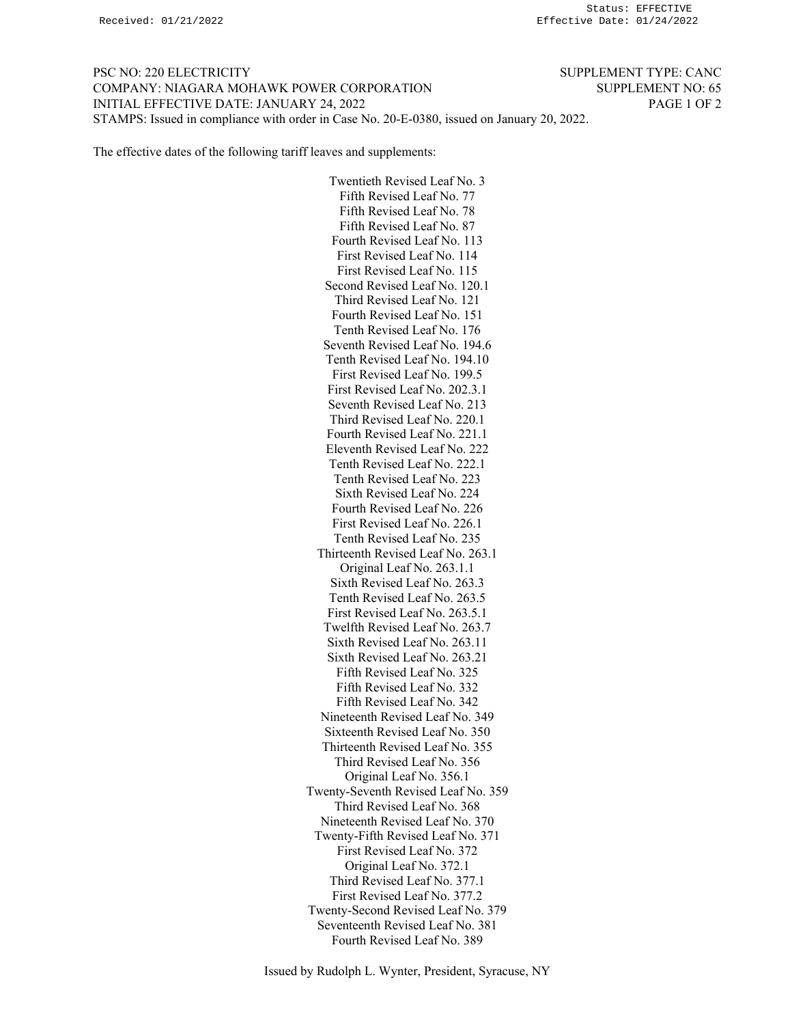PSC NO: 220 ELECTRICITY SUPPLEMENT TYPE: CANC COMPANY: NIAGARA MOHAWK POWER CORPORATION SUPPLEMENT NO: 65 INITIAL EFFECTIVE DATE: JANUARY 24, 2022 PAGE 1 OF 2 STAMPS: Issued in compliance with order in Case No. 20-E-0380, issued on January 20, 2022.

The effective dates of the following tariff leaves and supplements:

Twentieth Revised Leaf No. 3 Fifth Revised Leaf No. 77 Fifth Revised Leaf No. 78 Fifth Revised Leaf No. 87 Fourth Revised Leaf No. 113 First Revised Leaf No. 114 First Revised Leaf No. 115 Second Revised Leaf No. 120.1 Third Revised Leaf No. 121 Fourth Revised Leaf No. 151 Tenth Revised Leaf No. 176 Seventh Revised Leaf No. 194.6 Tenth Revised Leaf No. 194.10 First Revised Leaf No. 199.5 First Revised Leaf No. 202.3.1 Seventh Revised Leaf No. 213 Third Revised Leaf No. 220.1 Fourth Revised Leaf No. 221.1 Eleventh Revised Leaf No. 222 Tenth Revised Leaf No. 222.1 Tenth Revised Leaf No. 223 Sixth Revised Leaf No. 224 Fourth Revised Leaf No. 226 First Revised Leaf No. 226.1 Tenth Revised Leaf No. 235 Thirteenth Revised Leaf No. 263.1 Original Leaf No. 263.1.1 Sixth Revised Leaf No. 263.3 Tenth Revised Leaf No. 263.5 First Revised Leaf No. 263.5.1 Twelfth Revised Leaf No. 263.7 Sixth Revised Leaf No. 263.11 Sixth Revised Leaf No. 263.21 Fifth Revised Leaf No. 325 Fifth Revised Leaf No. 332 Fifth Revised Leaf No. 342 Nineteenth Revised Leaf No. 349 Sixteenth Revised Leaf No. 350 Thirteenth Revised Leaf No. 355 Third Revised Leaf No. 356 Original Leaf No. 356.1 Twenty-Seventh Revised Leaf No. 359 Third Revised Leaf No. 368 Nineteenth Revised Leaf No. 370 Twenty-Fifth Revised Leaf No. 371 First Revised Leaf No. 372 Original Leaf No. 372.1 Third Revised Leaf No. 377.1 First Revised Leaf No. 377.2 Twenty-Second Revised Leaf No. 379 Seventeenth Revised Leaf No. 381 Fourth Revised Leaf No. 389

Issued by Rudolph L. Wynter, President, Syracuse, NY